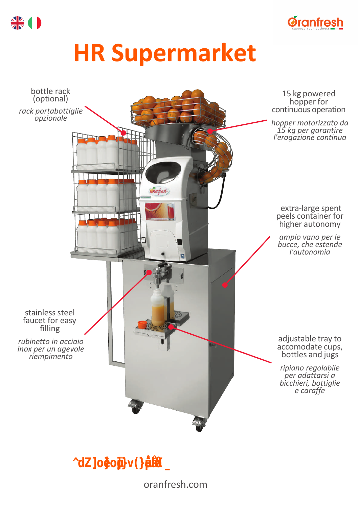

# **HR Supermarket**



*"The ideal solution for supermarkets."*

## oranfresh.com